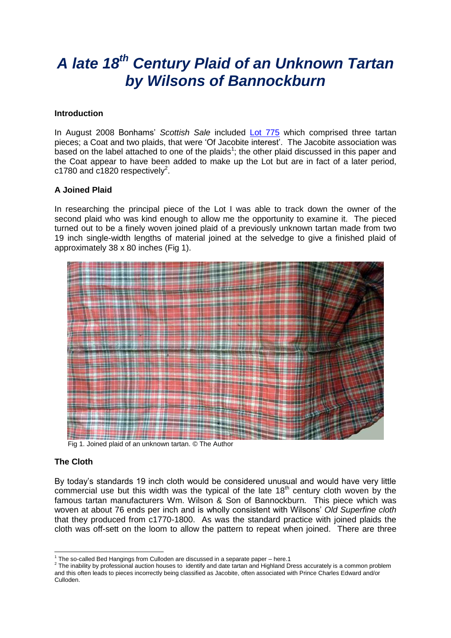# *A late 18th Century Plaid of an Unknown Tartan by Wilsons of Bannockburn*

#### **Introduction**

In August 2008 Bonhams' *Scottish Sale* included [Lot 775](http://www.bonhams.com/auctions/16326/lot/775/) which comprised three tartan pieces; a Coat and two plaids, that were 'Of Jacobite interest'. The Jacobite association was based on the label attached to one of the plaids<sup>1</sup>; the other plaid discussed in this paper and the Coat appear to have been added to make up the Lot but are in fact of a later period,  $c1780$  and  $c1820$  respectively<sup>2</sup>.

#### **A Joined Plaid**

In researching the principal piece of the Lot I was able to track down the owner of the second plaid who was kind enough to allow me the opportunity to examine it. The pieced turned out to be a finely woven joined plaid of a previously unknown tartan made from two 19 inch single-width lengths of material joined at the selvedge to give a finished plaid of approximately 38 x 80 inches (Fig 1).



Fig 1. Joined plaid of an unknown tartan. © The Author

#### **The Cloth**

-

By today's standards 19 inch cloth would be considered unusual and would have very little commercial use but this width was the typical of the late  $18<sup>th</sup>$  century cloth woven by the famous tartan manufacturers Wm. Wilson & Son of Bannockburn. This piece which was woven at about 76 ends per inch and is wholly consistent with Wilsons' *Old Superfine cloth* that they produced from c1770-1800. As was the standard practice with joined plaids the cloth was off-sett on the loom to allow the pattern to repeat when joined. There are three

<sup>1</sup> The so-called Bed Hangings from Culloden are discussed in a separate paper – here.1

 $2$  The inability by professional auction houses to identify and date tartan and Highland Dress accurately is a common problem and this often leads to pieces incorrectly being classified as Jacobite, often associated with Prince Charles Edward and/or Culloden.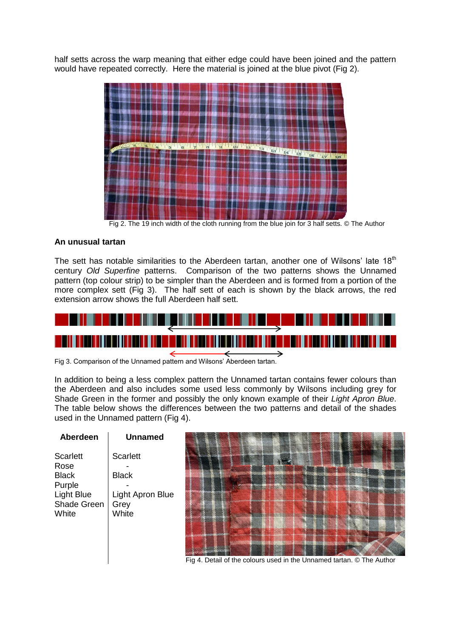half setts across the warp meaning that either edge could have been joined and the pattern would have repeated correctly. Here the material is joined at the blue pivot (Fig 2).



Fig 2. The 19 inch width of the cloth running from the blue join for 3 half setts. © The Author

## **An unusual tartan**

The sett has notable similarities to the Aberdeen tartan, another one of Wilsons' late  $18<sup>th</sup>$ century *Old Superfine* patterns. Comparison of the two patterns shows the Unnamed pattern (top colour strip) to be simpler than the Aberdeen and is formed from a portion of the more complex sett (Fig 3). The half sett of each is shown by the black arrows, the red extension arrow shows the full Aberdeen half sett.



Fig 3. Comparison of the Unnamed pattern and Wilsons' Aberdeen tartan.

In addition to being a less complex pattern the Unnamed tartan contains fewer colours than the Aberdeen and also includes some used less commonly by Wilsons including grey for Shade Green in the former and possibly the only known example of their *Light Apron Blue*. The table below shows the differences between the two patterns and detail of the shades used in the Unnamed pattern (Fig 4).

| Aberdeen          | <b>Unnamed</b>   |                          |
|-------------------|------------------|--------------------------|
| <b>Scarlett</b>   | <b>Scarlett</b>  |                          |
| Rose              |                  | <u> Salaan Soo</u>       |
| <b>Black</b>      | <b>Black</b>     |                          |
| Purple            |                  |                          |
| <b>Light Blue</b> | Light Apron Blue |                          |
| Shade Green       | Grey             | $\overline{\phantom{a}}$ |
| White             | White            |                          |
|                   |                  |                          |
|                   |                  |                          |
|                   |                  |                          |

Fig 4. Detail of the colours used in the Unnamed tartan. © The Author